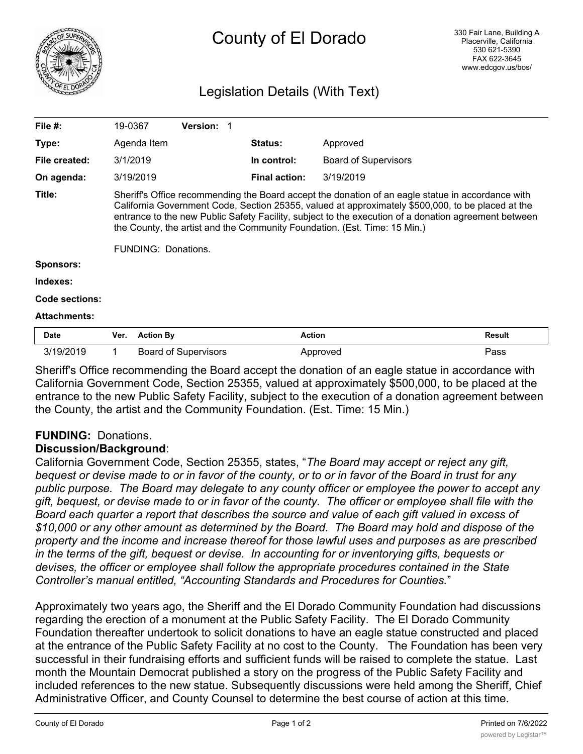

# County of El Dorado

# Legislation Details (With Text)

| File $#$ :          |      | 19-0367                                                                                                                                                                                                                                                                                                                                                                                                            | <b>Version: 1</b>           |                      |                             |               |  |
|---------------------|------|--------------------------------------------------------------------------------------------------------------------------------------------------------------------------------------------------------------------------------------------------------------------------------------------------------------------------------------------------------------------------------------------------------------------|-----------------------------|----------------------|-----------------------------|---------------|--|
| Type:               |      | Agenda Item                                                                                                                                                                                                                                                                                                                                                                                                        |                             | Status:              | Approved                    |               |  |
| File created:       |      | 3/1/2019                                                                                                                                                                                                                                                                                                                                                                                                           |                             | In control:          | <b>Board of Supervisors</b> |               |  |
| On agenda:          |      | 3/19/2019                                                                                                                                                                                                                                                                                                                                                                                                          |                             | <b>Final action:</b> | 3/19/2019                   |               |  |
| Title:              |      | Sheriff's Office recommending the Board accept the donation of an eagle statue in accordance with<br>California Government Code, Section 25355, valued at approximately \$500,000, to be placed at the<br>entrance to the new Public Safety Facility, subject to the execution of a donation agreement between<br>the County, the artist and the Community Foundation. (Est. Time: 15 Min.)<br>FUNDING: Donations. |                             |                      |                             |               |  |
| <b>Sponsors:</b>    |      |                                                                                                                                                                                                                                                                                                                                                                                                                    |                             |                      |                             |               |  |
| Indexes:            |      |                                                                                                                                                                                                                                                                                                                                                                                                                    |                             |                      |                             |               |  |
| Code sections:      |      |                                                                                                                                                                                                                                                                                                                                                                                                                    |                             |                      |                             |               |  |
| <b>Attachments:</b> |      |                                                                                                                                                                                                                                                                                                                                                                                                                    |                             |                      |                             |               |  |
| <b>Date</b>         | Ver. | <b>Action By</b>                                                                                                                                                                                                                                                                                                                                                                                                   |                             | <b>Action</b>        |                             | <b>Result</b> |  |
| 3/19/2019           |      |                                                                                                                                                                                                                                                                                                                                                                                                                    | <b>Board of Supervisors</b> |                      | Approved                    | Pass          |  |

Sheriff's Office recommending the Board accept the donation of an eagle statue in accordance with California Government Code, Section 25355, valued at approximately \$500,000, to be placed at the entrance to the new Public Safety Facility, subject to the execution of a donation agreement between the County, the artist and the Community Foundation. (Est. Time: 15 Min.)

## **FUNDING:** Donations.

### **Discussion/Background**:

California Government Code, Section 25355, states, "*The Board may accept or reject any gift, bequest or devise made to or in favor of the county, or to or in favor of the Board in trust for any public purpose. The Board may delegate to any county officer or employee the power to accept any gift, bequest, or devise made to or in favor of the county. The officer or employee shall file with the Board each quarter a report that describes the source and value of each gift valued in excess of \$10,000 or any other amount as determined by the Board. The Board may hold and dispose of the property and the income and increase thereof for those lawful uses and purposes as are prescribed in the terms of the gift, bequest or devise. In accounting for or inventorying gifts, bequests or devises, the officer or employee shall follow the appropriate procedures contained in the State Controller's manual entitled, "Accounting Standards and Procedures for Counties.*"

Approximately two years ago, the Sheriff and the El Dorado Community Foundation had discussions regarding the erection of a monument at the Public Safety Facility. The El Dorado Community Foundation thereafter undertook to solicit donations to have an eagle statue constructed and placed at the entrance of the Public Safety Facility at no cost to the County. The Foundation has been very successful in their fundraising efforts and sufficient funds will be raised to complete the statue. Last month the Mountain Democrat published a story on the progress of the Public Safety Facility and included references to the new statue. Subsequently discussions were held among the Sheriff, Chief Administrative Officer, and County Counsel to determine the best course of action at this time.